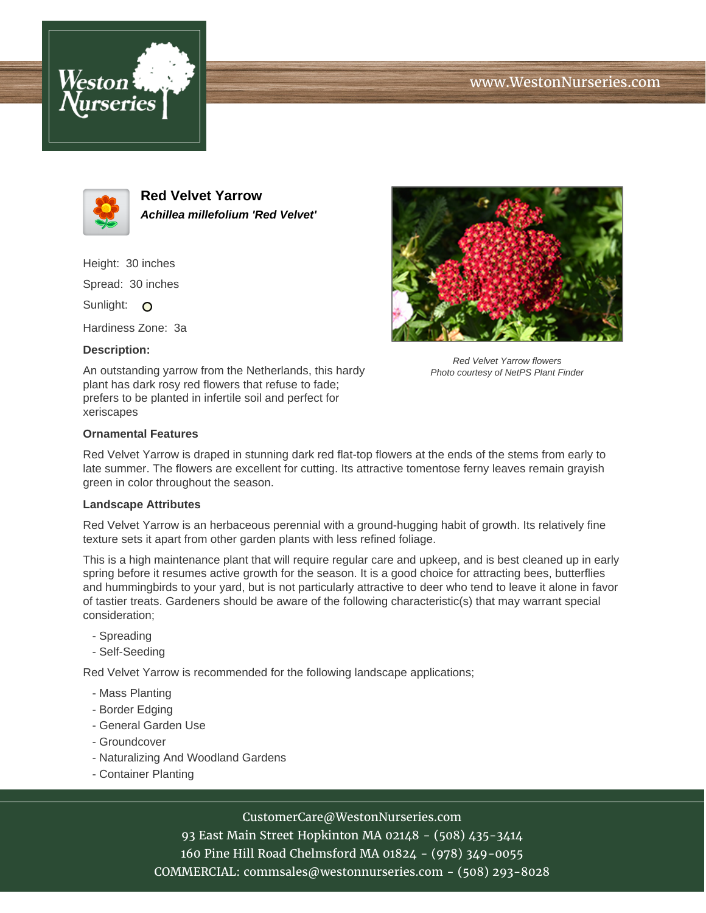





**Red Velvet Yarrow Achillea millefolium 'Red Velvet'**

Height: 30 inches

Spread: 30 inches

Sunlight: O

Hardiness Zone: 3a

# **Description:**

An outstanding yarrow from the Netherlands, this hardy plant has dark rosy red flowers that refuse to fade; prefers to be planted in infertile soil and perfect for xeriscapes



Red Velvet Yarrow flowers Photo courtesy of NetPS Plant Finder

### **Ornamental Features**

Red Velvet Yarrow is draped in stunning dark red flat-top flowers at the ends of the stems from early to late summer. The flowers are excellent for cutting. Its attractive tomentose ferny leaves remain grayish green in color throughout the season.

### **Landscape Attributes**

Red Velvet Yarrow is an herbaceous perennial with a ground-hugging habit of growth. Its relatively fine texture sets it apart from other garden plants with less refined foliage.

This is a high maintenance plant that will require regular care and upkeep, and is best cleaned up in early spring before it resumes active growth for the season. It is a good choice for attracting bees, butterflies and hummingbirds to your yard, but is not particularly attractive to deer who tend to leave it alone in favor of tastier treats. Gardeners should be aware of the following characteristic(s) that may warrant special consideration;

- Spreading
- Self-Seeding

Red Velvet Yarrow is recommended for the following landscape applications;

- Mass Planting
- Border Edging
- General Garden Use
- Groundcover
- Naturalizing And Woodland Gardens
- Container Planting

# CustomerCare@WestonNurseries.com

93 East Main Street Hopkinton MA 02148 - (508) 435-3414 160 Pine Hill Road Chelmsford MA 01824 - (978) 349-0055 COMMERCIAL: commsales@westonnurseries.com - (508) 293-8028